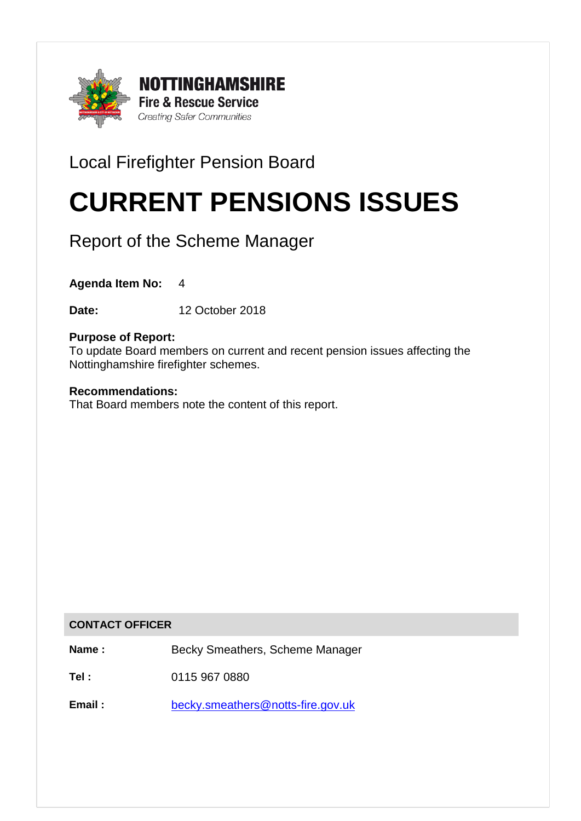

# Local Firefighter Pension Board

# CURRENT PENSIONS ISSUES

Report of the Scheme Manager

**Agenda Item No:** 4

**Date:** 12 October 2018

# **Purpose of Report:**

To update Board members on current and recent pension issues affecting the Nottinghamshire firefighter schemes.

#### **Recommendations:**

That Board members note the content of this report.

#### **CONTACT OFFICER**

**Name :** Becky Smeathers, Scheme Manager

**Tel :** 0115 967 0880

Email : [becky.smeathers@notts-fire.gov.uk](mailto:becky.smeathers@notts-fire.gov.uk)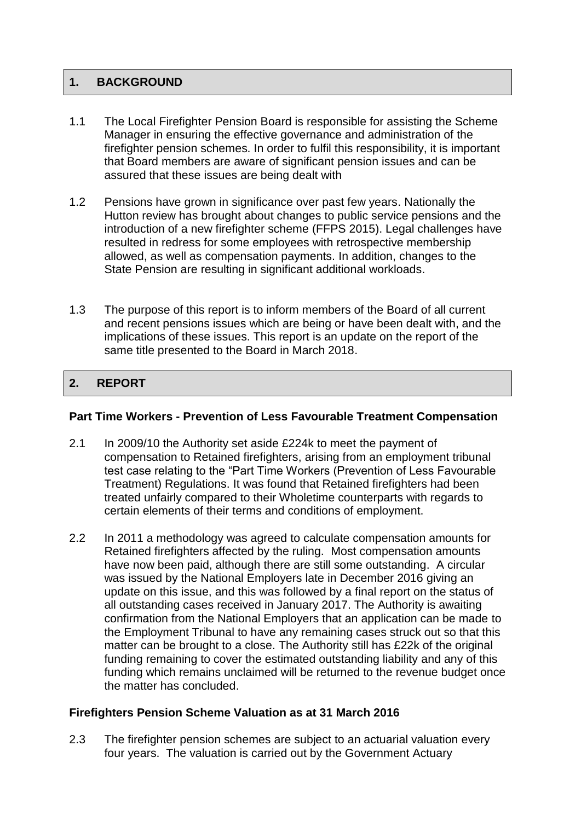# **1. BACKGROUND**

- 1.1 The Local Firefighter Pension Board is responsible for assisting the Scheme Manager in ensuring the effective governance and administration of the firefighter pension schemes. In order to fulfil this responsibility, it is important that Board members are aware of significant pension issues and can be assured that these issues are being dealt with
- 1.2 Pensions have grown in significance over past few years. Nationally the Hutton review has brought about changes to public service pensions and the introduction of a new firefighter scheme (FFPS 2015). Legal challenges have resulted in redress for some employees with retrospective membership allowed, as well as compensation payments. In addition, changes to the State Pension are resulting in significant additional workloads.
- 1.3 The purpose of this report is to inform members of the Board of all current and recent pensions issues which are being or have been dealt with, and the implications of these issues. This report is an update on the report of the same title presented to the Board in March 2018.

# 2. REPORT

#### **Part Time Workers - Prevention of Less Favourable Treatment Compensation**

- 2.1 In 2009/10 the Authority set aside £224k to meet the payment of compensation to Retained firefighters, arising from an employment tribunal test case relating to the "Part Time Workers (Prevention of Less Favourable Treatment) Regulations. It was found that Retained firefighters had been treated unfairly compared to their Wholetime counterparts with regards to certain elements of their terms and conditions of employment.
- 2.2 In 2011 a methodology was agreed to calculate compensation amounts for Retained firefighters affected by the ruling. Most compensation amounts have now been paid, although there are still some outstanding. A circular was issued by the National Employers late in December 2016 giving an update on this issue, and this was followed by a final report on the status of all outstanding cases received in January 2017. The Authority is awaiting confirmation from the National Employers that an application can be made to the Employment Tribunal to have any remaining cases struck out so that this matter can be brought to a close. The Authority still has £22k of the original funding remaining to cover the estimated outstanding liability and any of this funding which remains unclaimed will be returned to the revenue budget once the matter has concluded.

# **Firefighters Pension Scheme Valuation as at 31 March 2016**

2.3 The firefighter pension schemes are subject to an actuarial valuation every four years. The valuation is carried out by the Government Actuary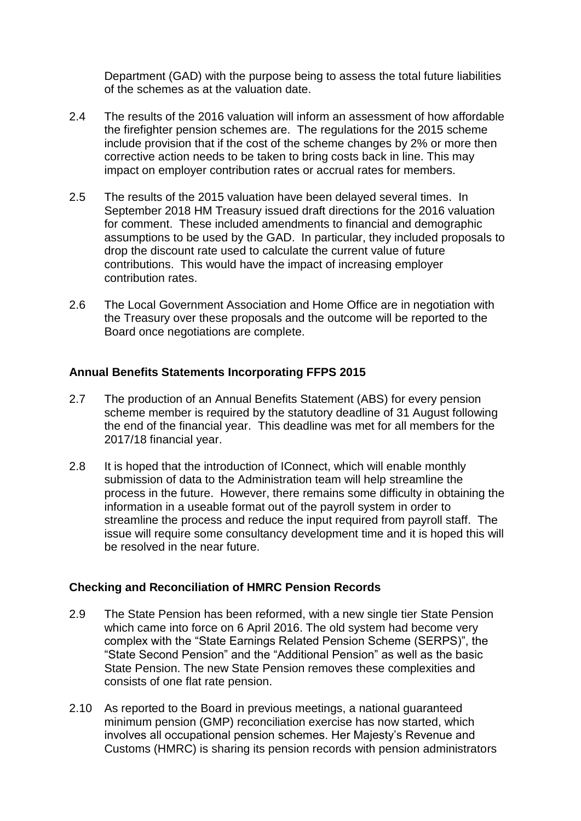Department (GAD) with the purpose being to assess the total future liabilities of the schemes as at the valuation date.

- 2.4 The results of the 2016 valuation will inform an assessment of how affordable the firefighter pension schemes are. The regulations for the 2015 scheme include provision that if the cost of the scheme changes by 2% or more then corrective action needs to be taken to bring costs back in line. This may impact on employer contribution rates or accrual rates for members.
- 2.5 The results of the 2015 valuation have been delayed several times. In September 2018 HM Treasury issued draft directions for the 2016 valuation for comment. These included amendments to financial and demographic assumptions to be used by the GAD. In particular, they included proposals to drop the discount rate used to calculate the current value of future contributions. This would have the impact of increasing employer contribution rates.
- 2.6 The Local Government Association and Home Office are in negotiation with the Treasury over these proposals and the outcome will be reported to the Board once negotiations are complete.

#### **Annual Benefits Statements Incorporating FFPS 2015**

- 2.7 The production of an Annual Benefits Statement (ABS) for every pension scheme member is required by the statutory deadline of 31 August following the end of the financial year. This deadline was met for all members for the 2017/18 financial year.
- 2.8 It is hoped that the introduction of IConnect, which will enable monthly submission of data to the Administration team will help streamline the process in the future. However, there remains some difficulty in obtaining the information in a useable format out of the payroll system in order to streamline the process and reduce the input required from payroll staff. The issue will require some consultancy development time and it is hoped this will be resolved in the near future.

#### **Checking and Reconciliation of HMRC Pension Records**

- 2.9 The State Pension has been reformed, with a new single tier State Pension which came into force on 6 April 2016. The old system had become very complex with the "State Earnings Related Pension Scheme (SERPS)", the "State Second Pension" and the "Additional Pension" as well as the basic State Pension. The new State Pension removes these complexities and consists of one flat rate pension.
- 2.10 As reported to the Board in previous meetings, a national guaranteed minimum pension (GMP) reconciliation exercise has now started, which involves all occupational pension schemes. Her Majesty's Revenue and Customs (HMRC) is sharing its pension records with pension administrators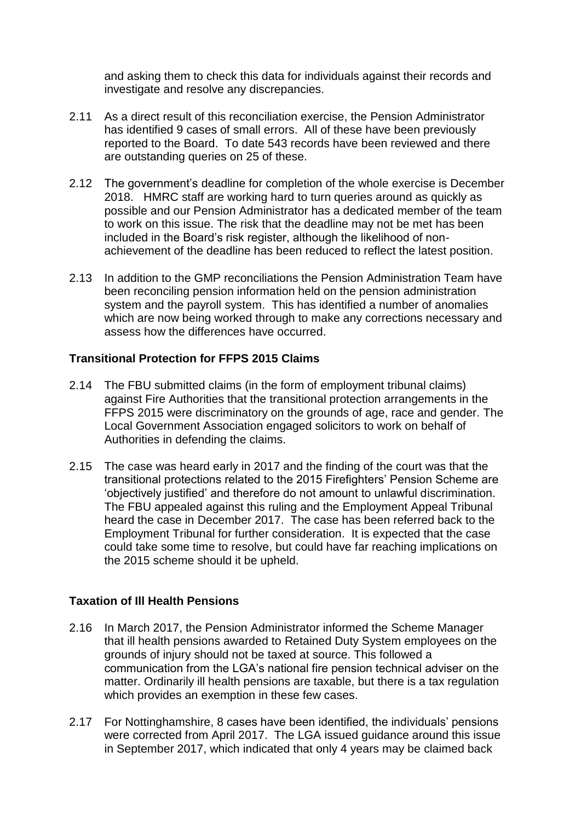and asking them to check this data for individuals against their records and investigate and resolve any discrepancies.

- 2.11 As a direct result of this reconciliation exercise, the Pension Administrator has identified 9 cases of small errors. All of these have been previously reported to the Board. To date 543 records have been reviewed and there are outstanding queries on 25 of these.
- 2.12 The government's deadline for completion of the whole exercise is December 2018. HMRC staff are working hard to turn queries around as quickly as possible and our Pension Administrator has a dedicated member of the team to work on this issue. The risk that the deadline may not be met has been included in the Board's risk register, although the likelihood of nonachievement of the deadline has been reduced to reflect the latest position.
- 2.13 In addition to the GMP reconciliations the Pension Administration Team have been reconciling pension information held on the pension administration system and the payroll system. This has identified a number of anomalies which are now being worked through to make any corrections necessary and assess how the differences have occurred.

#### **Transitional Protection for FFPS 2015 Claims**

- 2.14 The FBU submitted claims (in the form of employment tribunal claims) against Fire Authorities that the transitional protection arrangements in the FFPS 2015 were discriminatory on the grounds of age, race and gender. The Local Government Association engaged solicitors to work on behalf of Authorities in defending the claims.
- 2.15 The case was heard early in 2017 and the finding of the court was that the transitional protections related to the 2015 Firefighters' Pension Scheme are 'objectively justified' and therefore do not amount to unlawful discrimination. The FBU appealed against this ruling and the Employment Appeal Tribunal heard the case in December 2017. The case has been referred back to the Employment Tribunal for further consideration. It is expected that the case could take some time to resolve, but could have far reaching implications on the 2015 scheme should it be upheld.

#### **Taxation of Ill Health Pensions**

- 2.16 In March 2017, the Pension Administrator informed the Scheme Manager that ill health pensions awarded to Retained Duty System employees on the grounds of injury should not be taxed at source. This followed a communication from the LGA's national fire pension technical adviser on the matter. Ordinarily ill health pensions are taxable, but there is a tax regulation which provides an exemption in these few cases.
- 2.17 For Nottinghamshire, 8 cases have been identified, the individuals' pensions were corrected from April 2017. The LGA issued guidance around this issue in September 2017, which indicated that only 4 years may be claimed back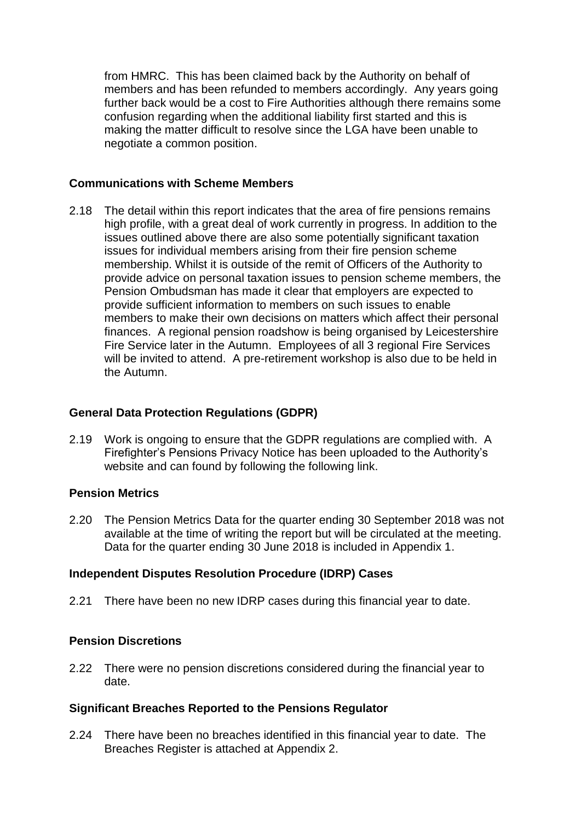from HMRC. This has been claimed back by the Authority on behalf of members and has been refunded to members accordingly. Any years going further back would be a cost to Fire Authorities although there remains some confusion regarding when the additional liability first started and this is making the matter difficult to resolve since the LGA have been unable to negotiate a common position.

#### **Communications with Scheme Members**

2.18 The detail within this report indicates that the area of fire pensions remains high profile, with a great deal of work currently in progress. In addition to the issues outlined above there are also some potentially significant taxation issues for individual members arising from their fire pension scheme membership. Whilst it is outside of the remit of Officers of the Authority to provide advice on personal taxation issues to pension scheme members, the Pension Ombudsman has made it clear that employers are expected to provide sufficient information to members on such issues to enable members to make their own decisions on matters which affect their personal finances. A regional pension roadshow is being organised by Leicestershire Fire Service later in the Autumn. Employees of all 3 regional Fire Services will be invited to attend. A pre-retirement workshop is also due to be held in the Autumn.

# **General Data Protection Regulations (GDPR)**

2.19 Work is ongoing to ensure that the GDPR regulations are complied with. A Firefighter's Pensions Privacy Notice has been uploaded to the Authority's website and can found by following the following link.

#### **Pension Metrics**

2.20 The Pension Metrics Data for the quarter ending 30 September 2018 was not available at the time of writing the report but will be circulated at the meeting. Data for the quarter ending 30 June 2018 is included in Appendix 1.

#### **Independent Disputes Resolution Procedure (IDRP) Cases**

2.21 There have been no new IDRP cases during this financial year to date.

# **Pension Discretions**

2.22 There were no pension discretions considered during the financial year to date.

# **Significant Breaches Reported to the Pensions Regulator**

2.24 There have been no breaches identified in this financial year to date. The Breaches Register is attached at Appendix 2.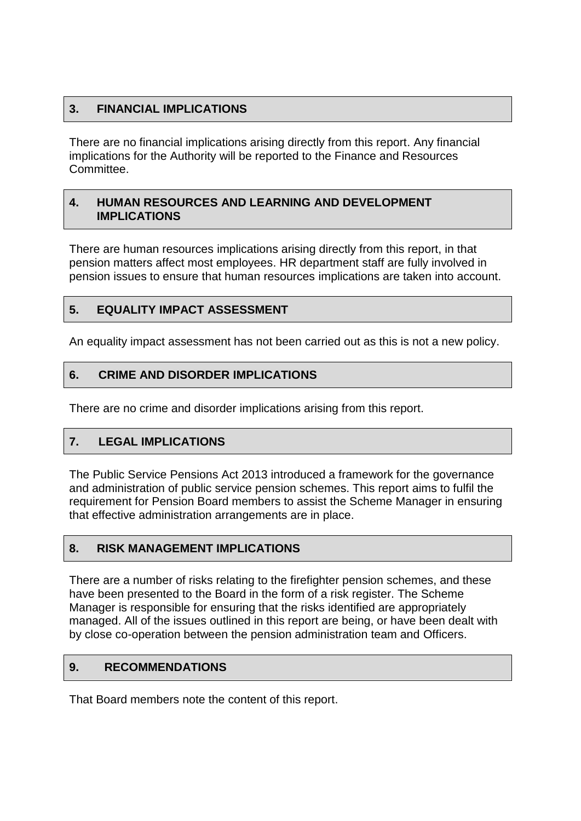# **3. FINANCIAL IMPLICATIONS**

There are no financial implications arising directly from this report. Any financial implications for the Authority will be reported to the Finance and Resources Committee.

#### **4. HUMAN RESOURCES AND LEARNING AND DEVELOPMENT IMPLICATIONS**

There are human resources implications arising directly from this report, in that pension matters affect most employees. HR department staff are fully involved in pension issues to ensure that human resources implications are taken into account.

# **5. EQUALITY IMPACT ASSESSMENT**

An equality impact assessment has not been carried out as this is not a new policy.

# **6. CRIME AND DISORDER IMPLICATIONS**

There are no crime and disorder implications arising from this report.

# **7. LEGAL IMPLICATIONS**

The Public Service Pensions Act 2013 introduced a framework for the governance and administration of public service pension schemes. This report aims to fulfil the requirement for Pension Board members to assist the Scheme Manager in ensuring that effective administration arrangements are in place.

#### **8. RISK MANAGEMENT IMPLICATIONS**

There are a number of risks relating to the firefighter pension schemes, and these have been presented to the Board in the form of a risk register. The Scheme Manager is responsible for ensuring that the risks identified are appropriately managed. All of the issues outlined in this report are being, or have been dealt with by close co-operation between the pension administration team and Officers.

# **9. RECOMMENDATIONS**

That Board members note the content of this report.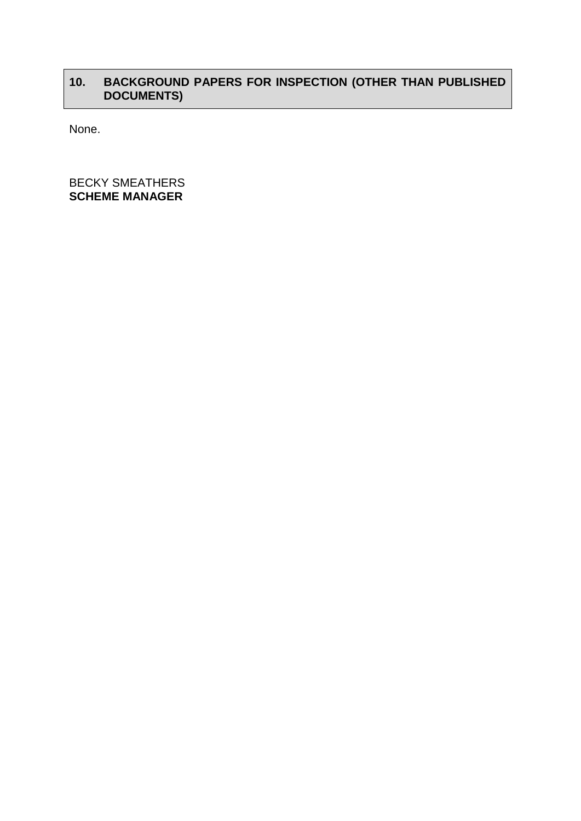# **10. BACKGROUND PAPERS FOR INSPECTION (OTHER THAN PUBLISHED DOCUMENTS)**

None.

BECKY SMEATHERS **SCHEME MANAGER**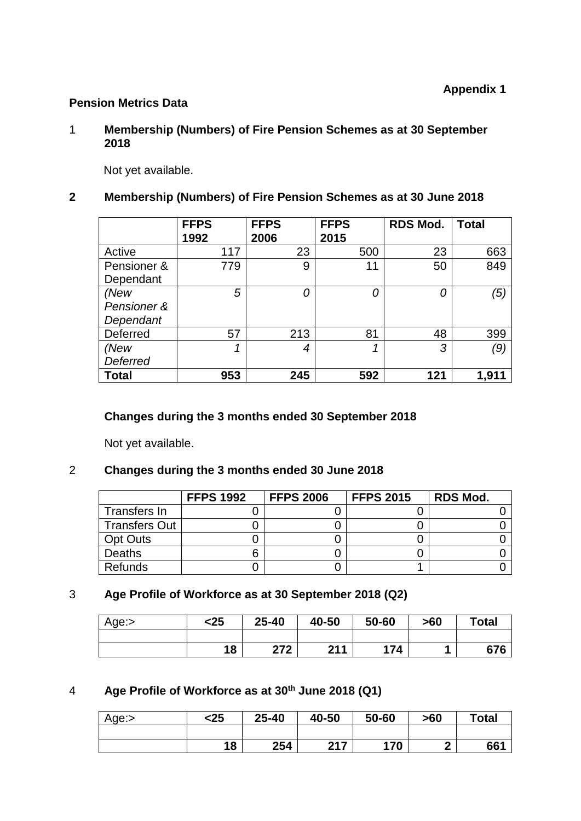# **Pension Metrics Data**

#### 1 **Membership (Numbers) of Fire Pension Schemes as at 30 September 2018**

Not yet available.

# **2 Membership (Numbers) of Fire Pension Schemes as at 30 June 2018**

|              | <b>FFPS</b> | <b>FFPS</b> | <b>FFPS</b> | <b>RDS Mod.</b> | <b>Total</b> |
|--------------|-------------|-------------|-------------|-----------------|--------------|
|              | 1992        | 2006        | 2015        |                 |              |
| Active       | 117         | 23          | 500         | 23              | 663          |
| Pensioner &  | 779         | 9           | 11          | 50              | 849          |
| Dependant    |             |             |             |                 |              |
| (New         | 5           |             | 0           | 0               | (5)          |
| Pensioner &  |             |             |             |                 |              |
| Dependant    |             |             |             |                 |              |
| Deferred     | 57          | 213         | 81          | 48              | 399          |
| (New         |             | 4           |             | 3               | (9)          |
| Deferred     |             |             |             |                 |              |
| <b>Total</b> | 953         | 245         | 592         | 121             | 1,911        |

#### **Changes during the 3 months ended 30 September 2018**

Not yet available.

# 2 **Changes during the 3 months ended 30 June 2018**

|                      | <b>FFPS 1992</b> | <b>FFPS 2006</b> | <b>FFPS 2015</b> | <b>RDS Mod.</b> |
|----------------------|------------------|------------------|------------------|-----------------|
| Transfers In         |                  |                  |                  |                 |
| <b>Transfers Out</b> |                  |                  |                  |                 |
| <b>Opt Outs</b>      |                  |                  |                  |                 |
| <b>Deaths</b>        |                  |                  |                  |                 |
| <b>Refunds</b>       |                  |                  |                  |                 |

# 3 **Age Profile of Workforce as at 30 September 2018 (Q2)**

| Age:> | <25 | 25-40 | 40-50 | 50-60 | >60 | <b>Total</b> |
|-------|-----|-------|-------|-------|-----|--------------|
|       |     |       |       |       |     |              |
|       | 18  | 272   | 211   | 174   |     | 676          |

# 4 **Age Profile of Workforce as at 30th June 2018 (Q1)**

| Age:> | <25 | $25 - 40$ | 40-50 | 50-60 | >60 | <b>Total</b> |
|-------|-----|-----------|-------|-------|-----|--------------|
|       |     |           |       |       |     |              |
|       | 18  | 254       | 217   | 170   | Λ   | 66'          |